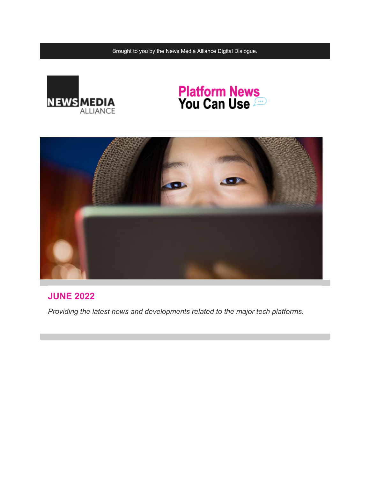Brought to you by the News Media Alliance Digital Dialogue.



# **Platform News<br>You Can Use**



# **JUNE 2022**

*Providing the latest news and developments related to the major tech platforms.*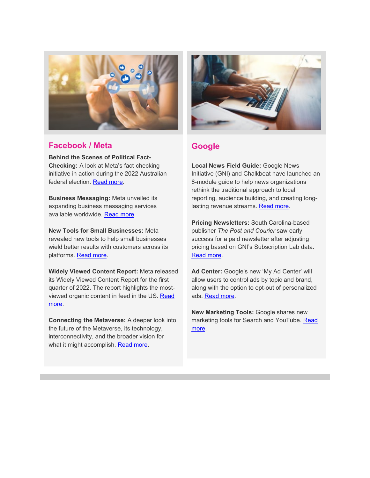

#### **Facebook / Meta**

**Behind the Scenes of Political Fact-Checking:** A look at Meta's fact-checking initiative in action during the 2022 Australian federal election. [Read more.](https://email.newsmediaalliance.org/c/1Kt5k71PowW3lr9S4bIjjZeZLMXY)

**Business Messaging:** Meta unveiled its expanding business messaging services available worldwide. [Read more.](https://email.newsmediaalliance.org/c/1Kt5kmdUycNxLqXNI3lO9dBfyCCl)

**New Tools for Small Businesses:** Meta revealed new tools to help small businesses wield better results with customers across its platforms. [Read more.](https://email.newsmediaalliance.org/c/1Kt5kBpZHSF2bqLJlUZiYrXvlsgI)

**Widely Viewed Content Report:** Meta released its Widely Viewed Content Report for the first quarter of 2022. The report highlights the mostviewed organic content in feed in the US. [Read](https://email.newsmediaalliance.org/c/1Kt5kQC4RywwBqzEZMCNNGjL8hV5)  [more.](https://email.newsmediaalliance.org/c/1Kt5kQC4RywwBqzEZMCNNGjL8hV5)

**Connecting the Metaverse:** A deeper look into the future of the Metaverse, its technology, interconnectivity, and the broader vision for what it might accomplish. [Read more.](https://email.newsmediaalliance.org/c/1Kt5l5Oa1eo11qnADEgiCUG0V7zs)



## **Google**

**Local News Field Guide:** Google News Initiative (GNI) and Chalkbeat have launched an 8-module guide to help news organizations rethink the traditional approach to local reporting, audience building, and creating long-lasting revenue streams. [Read more.](https://email.newsmediaalliance.org/c/1Kt5ll0faUfvrqbwhvTNs92gHXdP)

**Pricing Newsletters:** South Carolina-based publisher *The Post and Courier* saw early success for a paid newsletter after adjusting pricing based on GNI's Subscription Lab data. [Read more.](https://email.newsmediaalliance.org/c/1Kt5lAckkA6ZRpZrVnxihnowuMSc)

**Ad Center:** Google's new 'My Ad Center' will allow users to control ads by topic and brand, along with the option to opt-out of personalized ads. [Read more.](https://email.newsmediaalliance.org/c/1Kt5lPopufYuhpNnzfaN6BKMhCwz)

**New Marketing Tools:** Google shares new marketing tools for Search and YouTube. [Read](https://email.newsmediaalliance.org/c/1Kt5mjMzNBHt7ppeQYrML4thRhPj)  [more.](https://email.newsmediaalliance.org/c/1Kt5mjMzNBHt7ppeQYrML4thRhPj)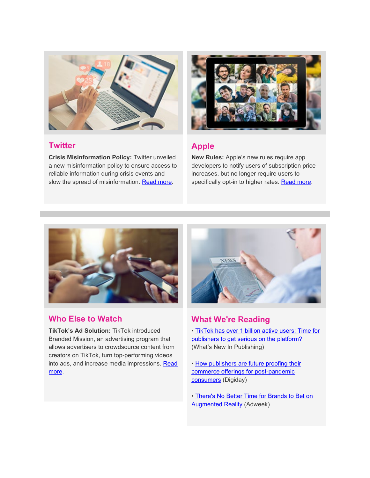

#### **Twitter**

**Crisis Misinformation Policy:** Twitter unveiled a new misinformation policy to ensure access to reliable information during crisis events and slow the spread of misinformation. [Read more.](https://email.newsmediaalliance.org/c/1Kt5myYEXhyXxpdauQ5hAiPxE7tG)



# **Apple**

**New Rules:** Apple's new rules require app developers to notify users of subscription price increases, but no longer require users to specifically opt-in to higher rates. [Read more.](https://email.newsmediaalliance.org/c/1Kt5mOaK6XqrXp168HIMpxbNqX83)



## **Who Else to Watch**

**TikTok's Ad Solution:** TikTok introduced Branded Mission, an advertising program that allows advertisers to crowdsource content from creators on TikTok, turn top-performing videos into ads, and increase media impressions. Read [more.](https://email.newsmediaalliance.org/c/1Kt5n3mPgDhWnoP1MzmheLy3dMMq)



# **What We're Reading**

• [TikTok has over 1 billion active users: Time for](https://email.newsmediaalliance.org/c/1Kt5niyUqj9qNoCXqqZM3ZUj0CqN)  [publishers to get serious on the platform?](https://email.newsmediaalliance.org/c/1Kt5niyUqj9qNoCXqqZM3ZUj0CqN) (What's New In Publishing)

- How publishers are future proofing their [commerce offerings for post-pandemic](https://email.newsmediaalliance.org/c/1Kt5nxKZzZ0VdoqT4iDgTegyNs5a)  [consumers](https://email.newsmediaalliance.org/c/1Kt5nxKZzZ0VdoqT4iDgTegyNs5a) (Digiday)
- [There's No Better Time for Brands to Bet on](https://email.newsmediaalliance.org/c/1Kt5nMX4JESpDoeOIagLIsCOAhJx)  [Augmented Reality](https://email.newsmediaalliance.org/c/1Kt5nMX4JESpDoeOIagLIsCOAhJx) (Adweek)